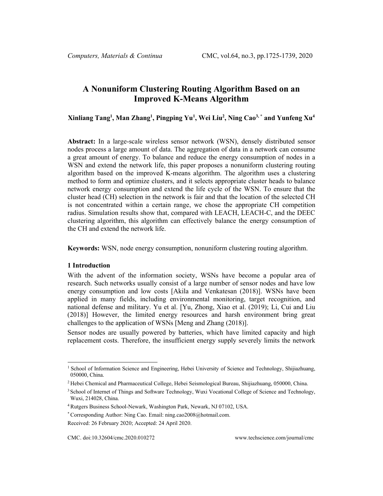# **A Nonuniform Clustering Routing Algorithm Based on an Improved K-Means Algorithm**

**Xinliang Tang1 , Man Zhang1 , Pingping Yu1 , Wei Liu2 , Ning Cao3, \* and Yunfeng Xu4**

**Abstract:** In a large-scale wireless sensor network (WSN), densely distributed sensor nodes process a large amount of data. The aggregation of data in a network can consume a great amount of energy. To balance and reduce the energy consumption of nodes in a WSN and extend the network life, this paper proposes a nonuniform clustering routing algorithm based on the improved K-means algorithm. The algorithm uses a clustering method to form and optimize clusters, and it selects appropriate cluster heads to balance network energy consumption and extend the life cycle of the WSN. To ensure that the cluster head (CH) selection in the network is fair and that the location of the selected CH is not concentrated within a certain range, we chose the appropriate CH competition radius. Simulation results show that, compared with LEACH, LEACH-C, and the DEEC clustering algorithm, this algorithm can effectively balance the energy consumption of the CH and extend the network life.

**Keywords:** WSN, node energy consumption, nonuniform clustering routing algorithm.

## **1 Introduction**

With the advent of the information society, WSNs have become a popular area of research. Such networks usually consist of a large number of sensor nodes and have low energy consumption and low costs [Akila and Venkatesan (2018)]. WSNs have been applied in many fields, including environmental monitoring, target recognition, and national defense and military. Yu et al. [Yu, Zhong, Xiao et al. (2019); Li, Cui and Liu (2018)] However, the limited energy resources and harsh environment bring great challenges to the application of WSNs [Meng and Zhang (2018)].

Sensor nodes are usually powered by batteries, which have limited capacity and high replacement costs. Therefore, the insufficient energy supply severely limits the network

<sup>&</sup>lt;sup>1</sup> School of Information Science and Engineering, Hebei University of Science and Technology, Shijiazhuang, 050000, China.

<sup>2</sup> Hebei Chemical and Pharmaceutical College, Hebei Seismological Bureau, Shijiazhuang, 050000, China.

<sup>&</sup>lt;sup>3</sup> School of Internet of Things and Software Technology, Wuxi Vocational College of Science and Technology, Wuxi, 214028, China.

<sup>4</sup> Rutgers Business School-Newark, Washington Park, Newark, NJ 07102, USA.

<sup>\*</sup> Corresponding Author: Ning Cao. Email: ning.cao2008@hotmail.com.

Received: 26 February 2020; Accepted: 24 April 2020.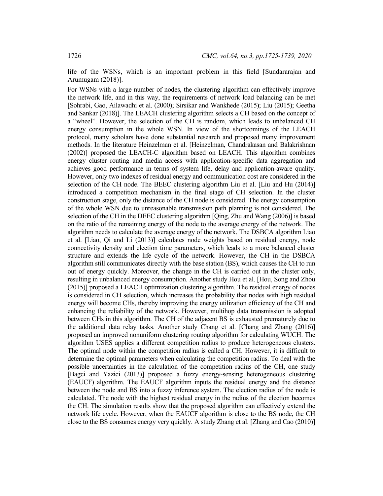life of the WSNs, which is an important problem in this field [Sundararajan and Arumugam (2018)].

For WSNs with a large number of nodes, the clustering algorithm can effectively improve the network life, and in this way, the requirements of network load balancing can be met [Sohrabi, Gao, Ailawadhi et al. (2000); Sirsikar and Wankhede (2015); Liu (2015); Geetha and Sankar (2018)]. The LEACH clustering algorithm selects a CH based on the concept of a "wheel". However, the selection of the CH is random, which leads to unbalanced CH energy consumption in the whole WSN. In view of the shortcomings of the LEACH protocol, many scholars have done substantial research and proposed many improvement methods. In the literature Heinzelman et al. [Heinzelman, Chandrakasan and Balakrishnan (2002)] proposed the LEACH-C algorithm based on LEACH. This algorithm combines energy cluster routing and media access with application-specific data aggregation and achieves good performance in terms of system life, delay and application-aware quality. However, only two indexes of residual energy and communication cost are considered in the selection of the CH node. The BEEC clustering algorithm Liu et al. [Liu and Hu (2014)] introduced a competition mechanism in the final stage of CH selection. In the cluster construction stage, only the distance of the CH node is considered. The energy consumption of the whole WSN due to unreasonable transmission path planning is not considered. The selection of the CH in the DEEC clustering algorithm [Qing, Zhu and Wang (2006)] is based on the ratio of the remaining energy of the node to the average energy of the network. The algorithm needs to calculate the average energy of the network. The DSBCA algorithm Liao et al. [Liao, Qi and Li (2013)] calculates node weights based on residual energy, node connectivity density and election time parameters, which leads to a more balanced cluster structure and extends the life cycle of the network. However, the CH in the DSBCA algorithm still communicates directly with the base station (BS), which causes the CH to run out of energy quickly. Moreover, the change in the CH is carried out in the cluster only, resulting in unbalanced energy consumption. Another study Hou et al. [Hou, Song and Zhou (2015)] proposed a LEACH optimization clustering algorithm. The residual energy of nodes is considered in CH selection, which increases the probability that nodes with high residual energy will become CHs, thereby improving the energy utilization efficiency of the CH and enhancing the reliability of the network. However, multihop data transmission is adopted between CHs in this algorithm. The CH of the adjacent BS is exhausted prematurely due to the additional data relay tasks. Another study Chang et al. [Chang and Zhang (2016)] proposed an improved nonuniform clustering routing algorithm for calculating WUCH. The algorithm USES applies a different competition radius to produce heterogeneous clusters. The optimal node within the competition radius is called a CH. However, it is difficult to determine the optimal parameters when calculating the competition radius. To deal with the possible uncertainties in the calculation of the competition radius of the CH, one study [Bagci and Yazici (2013)] proposed a fuzzy energy-sensing heterogeneous clustering (EAUCF) algorithm. The EAUCF algorithm inputs the residual energy and the distance between the node and BS into a fuzzy inference system. The election radius of the node is calculated. The node with the highest residual energy in the radius of the election becomes the CH. The simulation results show that the proposed algorithm can effectively extend the network life cycle. However, when the EAUCF algorithm is close to the BS node, the CH close to the BS consumes energy very quickly. A study Zhang et al. [Zhang and Cao (2010)]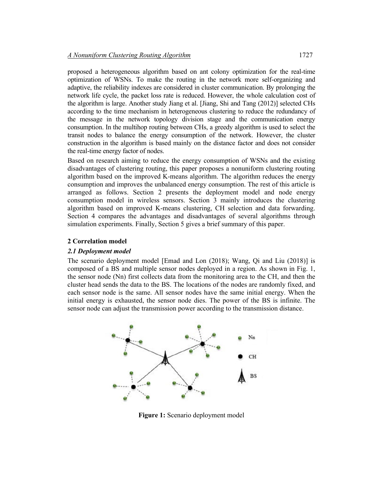proposed a heterogeneous algorithm based on ant colony optimization for the real-time optimization of WSNs. To make the routing in the network more self-organizing and adaptive, the reliability indexes are considered in cluster communication. By prolonging the network life cycle, the packet loss rate is reduced. However, the whole calculation cost of the algorithm is large. Another study Jiang et al. [Jiang, Shi and Tang (2012)] selected CHs according to the time mechanism in heterogeneous clustering to reduce the redundancy of the message in the network topology division stage and the communication energy consumption. In the multihop routing between CHs, a greedy algorithm is used to select the transit nodes to balance the energy consumption of the network. However, the cluster construction in the algorithm is based mainly on the distance factor and does not consider the real-time energy factor of nodes.

Based on research aiming to reduce the energy consumption of WSNs and the existing disadvantages of clustering routing, this paper proposes a nonuniform clustering routing algorithm based on the improved K-means algorithm. The algorithm reduces the energy consumption and improves the unbalanced energy consumption. The rest of this article is arranged as follows. Section 2 presents the deployment model and node energy consumption model in wireless sensors. Section 3 mainly introduces the clustering algorithm based on improved K-means clustering, CH selection and data forwarding. Section 4 compares the advantages and disadvantages of several algorithms through simulation experiments. Finally, Section 5 gives a brief summary of this paper.

## **2 Correlation model**

## *2.1 Deployment model*

The scenario deployment model [Emad and Lon (2018); Wang, Qi and Liu (2018)] is composed of a BS and multiple sensor nodes deployed in a region. As shown in Fig. 1, the sensor node (Nn) first collects data from the monitoring area to the CH, and then the cluster head sends the data to the BS. The locations of the nodes are randomly fixed, and each sensor node is the same. All sensor nodes have the same initial energy. When the initial energy is exhausted, the sensor node dies. The power of the BS is infinite. The sensor node can adjust the transmission power according to the transmission distance.



**Figure 1:** Scenario deployment model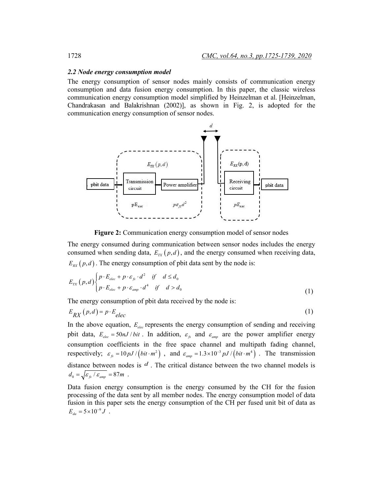#### *2.2 Node energy consumption model*

The energy consumption of sensor nodes mainly consists of communication energy consumption and data fusion energy consumption. In this paper, the classic wireless communication energy consumption model simplified by Heinzelman et al. [Heinzelman, Chandrakasan and Balakrishnan (2002)], as shown in Fig. 2, is adopted for the communication energy consumption of sensor nodes.



**Figure 2:** Communication energy consumption model of sensor nodes

The energy consumed during communication between sensor nodes includes the energy consumed when sending data,  $E_{TX}(p,d)$ , and the energy consumed when receiving data,  $E_{\text{RX}}(p, d)$ . The energy consumption of pbit data sent by the node is:

$$
E_{TX}\left(p,d\right) \begin{cases} p \cdot E_{elec} + p \cdot \varepsilon_{fs} \cdot d^2 & \text{if } d \leq d_0 \\ p \cdot E_{elec} + p \cdot \varepsilon_{amp} \cdot d^4 & \text{if } d > d_0 \end{cases}
$$
 (1)

The energy consumption of pbit data received by the node is:

$$
E_{RX}(p,d) = p \cdot E_{elec} \tag{1}
$$

In the above equation,  $E_{elec}$  represents the energy consumption of sending and receiving pbit data,  $E_{elec} = 50 nJ / bit$ . In addition,  $\varepsilon_{fs}$  and  $\varepsilon_{amp}$  are the power amplifier energy consumption coefficients in the free space channel and multipath fading channel, respectively;  $\varepsilon_{fs} = 10 pJ / (bit \cdot m^2)$ , and  $\varepsilon_{amp} = 1.3 \times 10^{-3} pJ / (bit \cdot m^4)$ . The transmission distance between nodes is *d* . The critical distance between the two channel models is  $d_0 = \sqrt{\varepsilon_{fs} / \varepsilon_{amp}} = 87m$ .

Data fusion energy consumption is the energy consumed by the CH for the fusion processing of the data sent by all member nodes. The energy consumption model of data fusion in this paper sets the energy consumption of the CH per fused unit bit of data as  $E_{da} = 5 \times 10^{-9} J$ .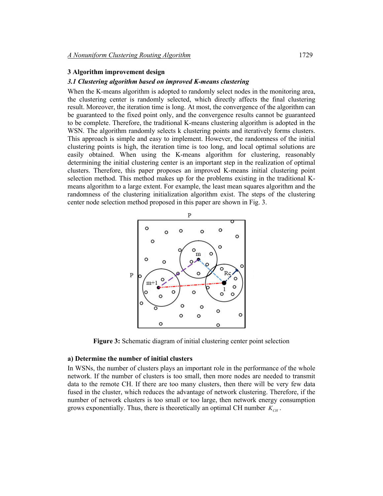## **3 Algorithm improvement design**

## *3.1 Clustering algorithm based on improved K-means clustering*

When the K-means algorithm is adopted to randomly select nodes in the monitoring area, the clustering center is randomly selected, which directly affects the final clustering result. Moreover, the iteration time is long. At most, the convergence of the algorithm can be guaranteed to the fixed point only, and the convergence results cannot be guaranteed to be complete. Therefore, the traditional K-means clustering algorithm is adopted in the WSN. The algorithm randomly selects k clustering points and iteratively forms clusters. This approach is simple and easy to implement. However, the randomness of the initial clustering points is high, the iteration time is too long, and local optimal solutions are easily obtained. When using the K-means algorithm for clustering, reasonably determining the initial clustering center is an important step in the realization of optimal clusters. Therefore, this paper proposes an improved K-means initial clustering point selection method. This method makes up for the problems existing in the traditional Kmeans algorithm to a large extent. For example, the least mean squares algorithm and the randomness of the clustering initialization algorithm exist. The steps of the clustering center node selection method proposed in this paper are shown in Fig. 3.



**Figure 3:** Schematic diagram of initial clustering center point selection

## **a) Determine the number of initial clusters**

In WSNs, the number of clusters plays an important role in the performance of the whole network. If the number of clusters is too small, then more nodes are needed to transmit data to the remote CH. If there are too many clusters, then there will be very few data fused in the cluster, which reduces the advantage of network clustering. Therefore, if the number of network clusters is too small or too large, then network energy consumption grows exponentially. Thus, there is theoretically an optimal CH number  $K_{CH}$ .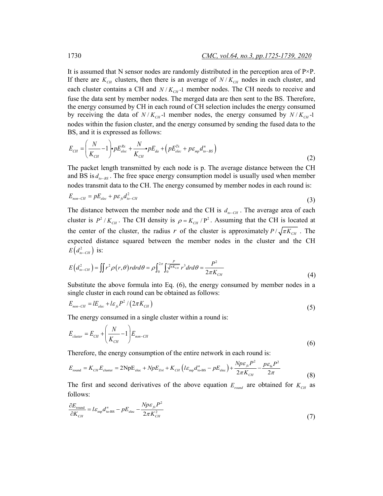It is assumed that N sensor nodes are randomly distributed in the perception area of  $P^{\times}P$ . If there are  $K_{CH}$  clusters, then there is an average of  $N/K_{CH}$  nodes in each cluster, and each cluster contains a CH and  $N/K_{CH}$ -1 member nodes. The CH needs to receive and fuse the data sent by member nodes. The merged data are then sent to the BS. Therefore, the energy consumed by CH in each round of CH selection includes the energy consumed by receiving the data of  $N / K_{CH}$  member nodes, the energy consumed by  $N / K_{CH}$ -1 nodes within the fusion cluster, and the energy consumed by sending the fused data to the BS, and it is expressed as follows:

$$
E_{CH} = \left(\frac{N}{K_{CH}} - 1\right) \cdot pE_{elec}^{Rx} + \frac{N}{K_{CH}} \cdot pE_{da} + \left(pE_{elec}^{Tx} + p\varepsilon_{mp}d_{io-BS}^{n}\right)
$$
\n(2)

The packet length transmitted by each node is p. The average distance between the CH and BS is  $d_{n-BS}$ . The free space energy consumption model is usually used when member nodes transmit data to the CH. The energy consumed by member nodes in each round is:

$$
E_{non-CH} = pE_{elec} + p\epsilon_{\beta}d_{io-CH}^2 \tag{3}
$$

The distance between the member node and the CH is  $d_{n-CH}$ . The average area of each cluster is  $P^2 / K_{CH}$ . The CH density is  $\rho = K_{CH}/P^2$ . Assuming that the CH is located at the center of the cluster, the radius *r* of the cluster is approximately  $P/\sqrt{\pi K_{CH}}$ . The expected distance squared between the member nodes in the cluster and the CH  $E(d_{to-CH}^2)$  is:

$$
E\left(d_{io-CH}^{2}\right) = \iint r^{2} \rho\left(r,\theta\right) r dr d\theta = \rho \int_{0}^{2\pi} \int_{0}^{\frac{P}{\sqrt{\pi K_{CH}}} r^{3} dr d\theta = \frac{P^{2}}{2\pi K_{CH}} \tag{4}
$$

Substitute the above formula into Eq. (6), the energy consumed by member nodes in a single cluster in each round can be obtained as follows:

$$
E_{non-CH} = lE_{elec} + l\varepsilon_{fs}P^2 / (2\pi K_{CH})
$$
\n<sup>(5)</sup>

The energy consumed in a single cluster within a round is:

$$
E_{cluster} = E_{CH} + \left(\frac{N}{K_{CH}} - 1\right)E_{non-CH}
$$
\n(6)

Therefore, the energy consumption of the entire network in each round is:

$$
E_{\text{round}} = K_{\text{CH}} E_{\text{cluster}} = 2 \text{Np} E_{\text{elec}} + N p E_{\text{DA}} + K_{\text{CH}} \left( l \varepsilon_{\text{mp}} d_{\text{to-BS}}^n - p E_{\text{elec}} \right) + \frac{N p \varepsilon_{\text{fs}} P^2}{2 \pi K_{\text{CH}}} - \frac{p \varepsilon_{\text{fs}} P^2}{2 \pi} \tag{8}
$$

The first and second derivatives of the above equation  $E_{round}$  are obtained for  $K_{CH}$  as follows:

$$
\frac{\partial E_{\text{round}}}{\partial K_{CH}} = l \varepsilon_{\text{mp}} d_{\text{to-BS}}^n - p E_{\text{elec}} - \frac{N p \varepsilon_{fs} P^2}{2 \pi K_{CH}^2} \tag{7}
$$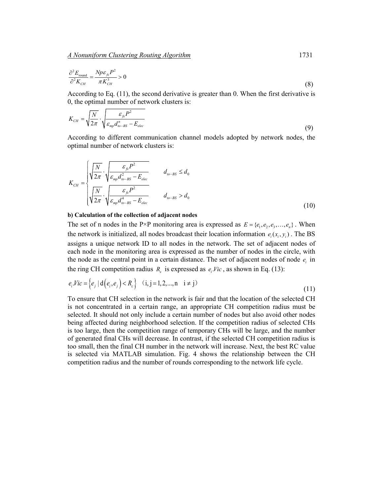$$
\frac{\partial^2 E_{\text{round}}}{\partial^2 K_{CH}} = \frac{Np \varepsilon_{\beta} P^2}{\pi K_{CH}^3} > 0
$$
\n(8)

According to Eq. (11), the second derivative is greater than 0. When the first derivative is 0, the optimal number of network clusters is:

$$
K_{CH} = \sqrt{\frac{N}{2\pi}} \cdot \sqrt{\frac{\varepsilon_{f_s} P^2}{\varepsilon_{mp} d_{to-BS}^n - E_{elec}}}
$$
\n(9)

According to different communication channel models adopted by network nodes, the optimal number of network clusters is:

$$
K_{CH} = \begin{cases} \sqrt{\frac{N}{2\pi}} \cdot \sqrt{\frac{\varepsilon_{fs}P^2}{\varepsilon_{mp}d_{io-BS}^2 - E_{elec}}} & d_{io-BS} \le d_0\\ \sqrt{\frac{N}{2\pi}} \cdot \sqrt{\frac{\varepsilon_{fs}P^2}{\varepsilon_{mp}d_{io-BS}^4 - E_{elec}}} & d_{io-BS} > d_0 \end{cases}
$$
(10)

#### **b) Calculation of the collection of adjacent nodes**

The set of n nodes in the P×P monitoring area is expressed as  $E = \{e_1, e_2, e_3, \ldots, e_n\}$ . When the network is initialized, all nodes broadcast their location information  $e_i(x_i, y_i)$ . The BS assigns a unique network ID to all nodes in the network. The set of adjacent nodes of each node in the monitoring area is expressed as the number of nodes in the circle, with the node as the central point in a certain distance. The set of adjacent nodes of node  $e_i$  in the ring CH competition radius  $R_c$  is expressed as  $e_i$  *Vic*, as shown in Eq. (13):

$$
e_i \text{Vic} = \left\{ e_j \mid d\left(e_i, e_j\right) < R_c \right\} \quad (i, j = 1, 2, \dots, n \quad i \neq j) \tag{11}
$$

To ensure that CH selection in the network is fair and that the location of the selected CH is not concentrated in a certain range, an appropriate CH competition radius must be selected. It should not only include a certain number of nodes but also avoid other nodes being affected during neighborhood selection. If the competition radius of selected CHs is too large, then the competition range of temporary CHs will be large, and the number of generated final CHs will decrease. In contrast, if the selected CH competition radius is too small, then the final CH number in the network will increase. Next, the best RC value is selected via MATLAB simulation. Fig. 4 shows the relationship between the CH competition radius and the number of rounds corresponding to the network life cycle.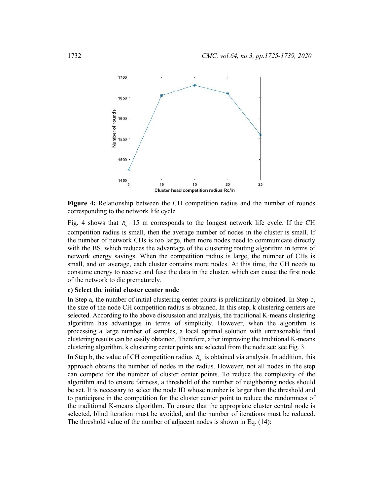

**Figure 4:** Relationship between the CH competition radius and the number of rounds corresponding to the network life cycle

Fig. 4 shows that  $R_c = 15$  m corresponds to the longest network life cycle. If the CH competition radius is small, then the average number of nodes in the cluster is small. If the number of network CHs is too large, then more nodes need to communicate directly with the BS, which reduces the advantage of the clustering routing algorithm in terms of network energy savings. When the competition radius is large, the number of CHs is small, and on average, each cluster contains more nodes. At this time, the CH needs to consume energy to receive and fuse the data in the cluster, which can cause the first node of the network to die prematurely.

## **c) Select the initial cluster center node**

In Step a, the number of initial clustering center points is preliminarily obtained. In Step b, the size of the node CH competition radius is obtained. In this step, k clustering centers are selected. According to the above discussion and analysis, the traditional K-means clustering algorithm has advantages in terms of simplicity. However, when the algorithm is processing a large number of samples, a local optimal solution with unreasonable final clustering results can be easily obtained. Therefore, after improving the traditional K-means clustering algorithm, k clustering center points are selected from the node set; see Fig. 3.

In Step b, the value of CH competition radius  $R_c$  is obtained via analysis. In addition, this approach obtains the number of nodes in the radius. However, not all nodes in the step can compete for the number of cluster center points. To reduce the complexity of the algorithm and to ensure fairness, a threshold of the number of neighboring nodes should be set. It is necessary to select the node ID whose number is larger than the threshold and to participate in the competition for the cluster center point to reduce the randomness of the traditional K-means algorithm. To ensure that the appropriate cluster central node is selected, blind iteration must be avoided, and the number of iterations must be reduced. The threshold value of the number of adjacent nodes is shown in Eq. (14):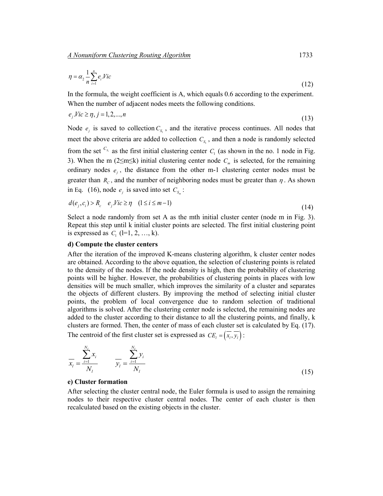$$
\eta = \alpha_2 \frac{1}{n} \sum_{i=1}^{n} e_i Vic \tag{12}
$$

In the formula, the weight coefficient is A, which equals 0.6 according to the experiment. When the number of adjacent nodes meets the following conditions.

$$
e_j \text{ } \text{ } \text{ } Vic \ge \eta, j = 1, 2, \dots, n \tag{13}
$$

Node  $e_i$  is saved to collection  $C_s$ , and the iterative process continues. All nodes that meet the above criteria are added to collection  $C_{S}$ , and then a node is randomly selected from the set  $C_{S_1}$  as the first initial clustering center  $C_1$  (as shown in the no. 1 node in Fig. 3). When the m (2≤m≤k) initial clustering center node  $C<sub>m</sub>$  is selected, for the remaining ordinary nodes  $e_i$ , the distance from the other m-1 clustering center nodes must be greater than  $R_c$ , and the number of neighboring nodes must be greater than  $\eta$ . As shown in Eq. (16), node  $e_i$  is saved into set  $C_s$ :

$$
d(e_j, c_i) > R_c \t e_j. \text{Vic} \ge \eta \quad (1 \le i \le m-1)
$$
\n
$$
(14)
$$

Select a node randomly from set A as the mth initial cluster center (node m in Fig. 3). Repeat this step until k initial cluster points are selected. The first initial clustering point is expressed as  $C_1$  (l=1, 2, ..., k).

## **d) Compute the cluster centers**

After the iteration of the improved K-means clustering algorithm, k cluster center nodes are obtained. According to the above equation, the selection of clustering points is related to the density of the nodes. If the node density is high, then the probability of clustering points will be higher. However, the probabilities of clustering points in places with low densities will be much smaller, which improves the similarity of a cluster and separates the objects of different clusters. By improving the method of selecting initial cluster points, the problem of local convergence due to random selection of traditional algorithms is solved. After the clustering center node is selected, the remaining nodes are added to the cluster according to their distance to all the clustering points, and finally, k clusters are formed. Then, the center of mass of each cluster set is calculated by Eq. (17). The centroid of the first cluster set is expressed as  $CE_i = (\overline{x_i}, \overline{y_i})$ :

$$
\overline{x_i} = \frac{\sum_{i=1}^{N_l} x_i}{N_l} \qquad \overline{y_i} = \frac{\sum_{i=1}^{N_l} y_i}{N_l}
$$
\n(15)

# **e) Cluster formation**

After selecting the cluster central node, the Euler formula is used to assign the remaining nodes to their respective cluster central nodes. The center of each cluster is then recalculated based on the existing objects in the cluster.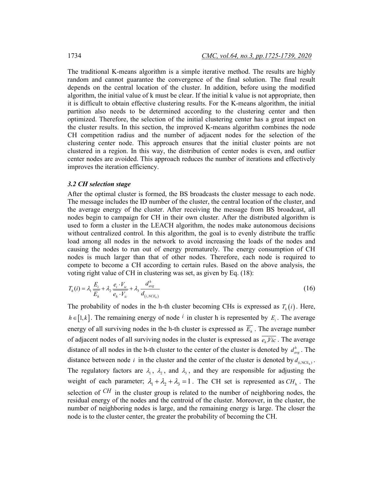The traditional K-means algorithm is a simple iterative method. The results are highly random and cannot guarantee the convergence of the final solution. The final result depends on the central location of the cluster. In addition, before using the modified algorithm, the initial value of k must be clear. If the initial k value is not appropriate, then it is difficult to obtain effective clustering results. For the K-means algorithm, the initial partition also needs to be determined according to the clustering center and then optimized. Therefore, the selection of the initial clustering center has a great impact on the cluster results. In this section, the improved K-means algorithm combines the node CH competition radius and the number of adjacent nodes for the selection of the clustering center node. This approach ensures that the initial cluster points are not clustered in a region. In this way, the distribution of center nodes is even, and outlier center nodes are avoided. This approach reduces the number of iterations and effectively improves the iteration efficiency.

## *3.2 CH selection stage*

After the optimal cluster is formed, the BS broadcasts the cluster message to each node. The message includes the ID number of the cluster, the central location of the cluster, and the average energy of the cluster. After receiving the message from BS broadcast, all nodes begin to campaign for CH in their own cluster. After the distributed algorithm is used to form a cluster in the LEACH algorithm, the nodes make autonomous decisions without centralized control. In this algorithm, the goal is to evenly distribute the traffic load among all nodes in the network to avoid increasing the loads of the nodes and causing the nodes to run out of energy prematurely. The energy consumption of CH nodes is much larger than that of other nodes. Therefore, each node is required to compete to become a CH according to certain rules. Based on the above analysis, the voting right value of CH in clustering was set, as given by Eq. (18):

$$
T_h(i) = \lambda_1 \frac{E_i}{E_h} + \lambda_2 \frac{e_i \cdot V_{ic}}{e_h \cdot V_{ic}} + \lambda_3 \frac{d_{avg}^h}{d_{(i, NCE_h)}}
$$
(16)

The probability of nodes in the h-th cluster becoming CHs is expressed as  $T_h(i)$ . Here,  $h \in [1, k]$ . The remaining energy of node <sup>*i*</sup> in cluster h is represented by *E<sub>i</sub>*. The average energy of all surviving nodes in the h-th cluster is expressed as  $\overline{E_h}$ . The average number of adjacent nodes of all surviving nodes in the cluster is expressed as  $\overline{e_h Vic}$ . The average distance of all nodes in the h-th cluster to the center of the cluster is denoted by  $d_{avg}^h$ . The distance between node *i* in the cluster and the center of the cluster is denoted by  $d_{i,NCE_h}$ . The regulatory factors are  $\lambda_1$ ,  $\lambda_2$ , and  $\lambda_3$ , and they are responsible for adjusting the weight of each parameter;  $\lambda_1 + \lambda_2 + \lambda_3 = 1$ . The CH set is represented as  $CH_h$ . The selection of *CH* in the cluster group is related to the number of neighboring nodes, the residual energy of the nodes and the centroid of the cluster. Moreover, in the cluster, the number of neighboring nodes is large, and the remaining energy is large. The closer the node is to the cluster center, the greater the probability of becoming the CH.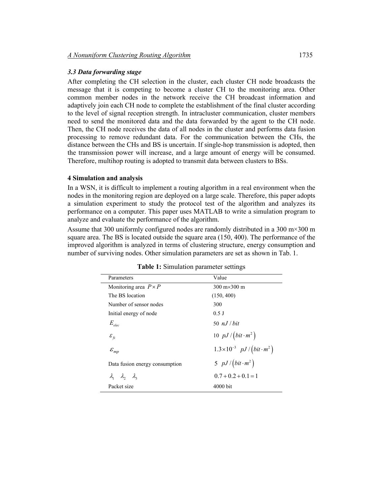# *3.3 Data forwarding stage*

After completing the CH selection in the cluster, each cluster CH node broadcasts the message that it is competing to become a cluster CH to the monitoring area. Other common member nodes in the network receive the CH broadcast information and adaptively join each CH node to complete the establishment of the final cluster according to the level of signal reception strength. In intracluster communication, cluster members need to send the monitored data and the data forwarded by the agent to the CH node. Then, the CH node receives the data of all nodes in the cluster and performs data fusion processing to remove redundant data. For the communication between the CHs, the distance between the CHs and BS is uncertain. If single-hop transmission is adopted, then the transmission power will increase, and a large amount of energy will be consumed. Therefore, multihop routing is adopted to transmit data between clusters to BSs.

## **4 Simulation and analysis**

In a WSN, it is difficult to implement a routing algorithm in a real environment when the nodes in the monitoring region are deployed on a large scale. Therefore, this paper adopts a simulation experiment to study the protocol test of the algorithm and analyzes its performance on a computer. This paper uses MATLAB to write a simulation program to analyze and evaluate the performance of the algorithm.

Assume that 300 uniformly configured nodes are randomly distributed in a 300 m×300 m square area. The BS is located outside the square area (150, 400). The performance of the improved algorithm is analyzed in terms of clustering structure, energy consumption and number of surviving nodes. Other simulation parameters are set as shown in Tab. 1.

| Parameters                              | Value                                                 |  |
|-----------------------------------------|-------------------------------------------------------|--|
| Monitoring area $P \times P$            | $300 \text{ m} \times 300 \text{ m}$                  |  |
| The BS location                         | (150, 400)                                            |  |
| Number of sensor nodes                  | 300                                                   |  |
| Initial energy of node                  | $0.5$ J                                               |  |
| $E_{elec}$                              | 50 $nJ/bit$                                           |  |
| $\varepsilon_{\scriptscriptstyle f\!s}$ | 10 $pJ/(bit \cdot m^2)$                               |  |
| $\mathcal{E}_{mp}$                      | $1.3 \times 10^{-3}$ pJ / $\left(bt \cdot m^2\right)$ |  |
| Data fusion energy consumption          | 5 $pJ/(bit \cdot m^2)$                                |  |
| $\lambda_1$ $\lambda_2$ $\lambda_3$     | $0.7 + 0.2 + 0.1 = 1$                                 |  |
| Packet size                             | 4000 bit                                              |  |

| Table 1: Simulation parameter settings |  |  |
|----------------------------------------|--|--|
|----------------------------------------|--|--|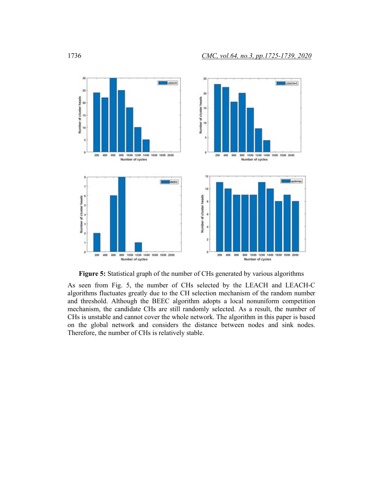

**Figure 5:** Statistical graph of the number of CHs generated by various algorithms

As seen from Fig. 5, the number of CHs selected by the LEACH and LEACH-C algorithms fluctuates greatly due to the CH selection mechanism of the random number and threshold. Although the BEEC algorithm adopts a local nonuniform competition mechanism, the candidate CHs are still randomly selected. As a result, the number of CHs is unstable and cannot cover the whole network. The algorithm in this paper is based on the global network and considers the distance between nodes and sink nodes. Therefore, the number of CHs is relatively stable.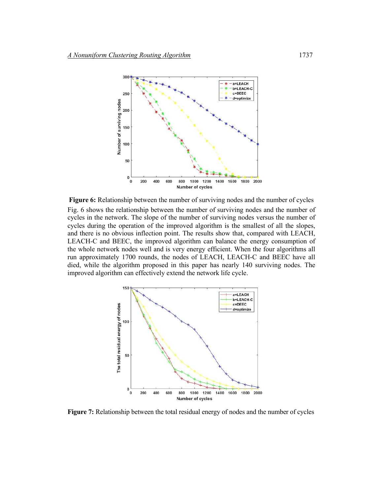

**Figure 6:** Relationship between the number of surviving nodes and the number of cycles Fig. 6 shows the relationship between the number of surviving nodes and the number of cycles in the network. The slope of the number of surviving nodes versus the number of cycles during the operation of the improved algorithm is the smallest of all the slopes, and there is no obvious inflection point. The results show that, compared with LEACH, LEACH-C and BEEC, the improved algorithm can balance the energy consumption of the whole network nodes well and is very energy efficient. When the four algorithms all run approximately 1700 rounds, the nodes of LEACH, LEACH-C and BEEC have all died, while the algorithm proposed in this paper has nearly 140 surviving nodes. The improved algorithm can effectively extend the network life cycle.



**Figure 7:** Relationship between the total residual energy of nodes and the number of cycles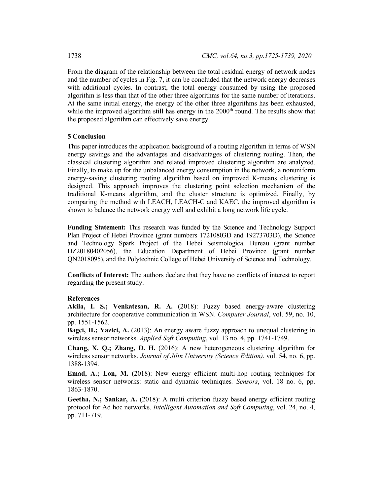From the diagram of the relationship between the total residual energy of network nodes and the number of cycles in Fig. 7, it can be concluded that the network energy decreases with additional cycles. In contrast, the total energy consumed by using the proposed algorithm is less than that of the other three algorithms for the same number of iterations. At the same initial energy, the energy of the other three algorithms has been exhausted, while the improved algorithm still has energy in the  $2000<sup>th</sup>$  round. The results show that the proposed algorithm can effectively save energy.

## **5 Conclusion**

This paper introduces the application background of a routing algorithm in terms of WSN energy savings and the advantages and disadvantages of clustering routing. Then, the classical clustering algorithm and related improved clustering algorithm are analyzed. Finally, to make up for the unbalanced energy consumption in the network, a nonuniform energy-saving clustering routing algorithm based on improved K-means clustering is designed. This approach improves the clustering point selection mechanism of the traditional K-means algorithm, and the cluster structure is optimized. Finally, by comparing the method with LEACH, LEACH-C and KAEC, the improved algorithm is shown to balance the network energy well and exhibit a long network life cycle.

**Funding Statement:** This research was funded by the Science and Technology Support Plan Project of Hebei Province (grant numbers 17210803D and 19273703D), the Science and Technology Spark Project of the Hebei Seismological Bureau (grant number DZ20180402056), the Education Department of Hebei Province (grant number QN2018095), and the Polytechnic College of Hebei University of Science and Technology.

**Conflicts of Interest:** The authors declare that they have no conflicts of interest to report regarding the present study.

#### **References**

**Akila, I. S.; Venkatesan, R. A.** (2018): Fuzzy based energy-aware clustering architecture for cooperative communication in WSN. *Computer Journal*, vol. 59, no. 10, pp. 1551-1562.

**Bagci, H.; Yazici, A.** (2013): An energy aware fuzzy approach to unequal clustering in wireless sensor networks. *Applied Soft Computing*, vol. 13 no. 4, pp. 1741-1749.

**Chang, X. Q.; Zhang, D. H.** (2016): A new heterogeneous clustering algorithm for wireless sensor networks. *Journal of Jilin University (Science Edition)*, vol. 54, no. 6, pp. 1388-1394.

**Emad, A.; Lon, M.** (2018): New energy efficient multi-hop routing techniques for wireless sensor networks: static and dynamic techniques*. Sensors*, vol. 18 no. 6, pp. 1863-1870.

**Geetha, N.; Sankar, A.** (2018): A multi criterion fuzzy based energy efficient routing protocol for Ad hoc networks. *Intelligent Automation and Soft Computing*, vol. 24, no. 4, pp. 711-719.